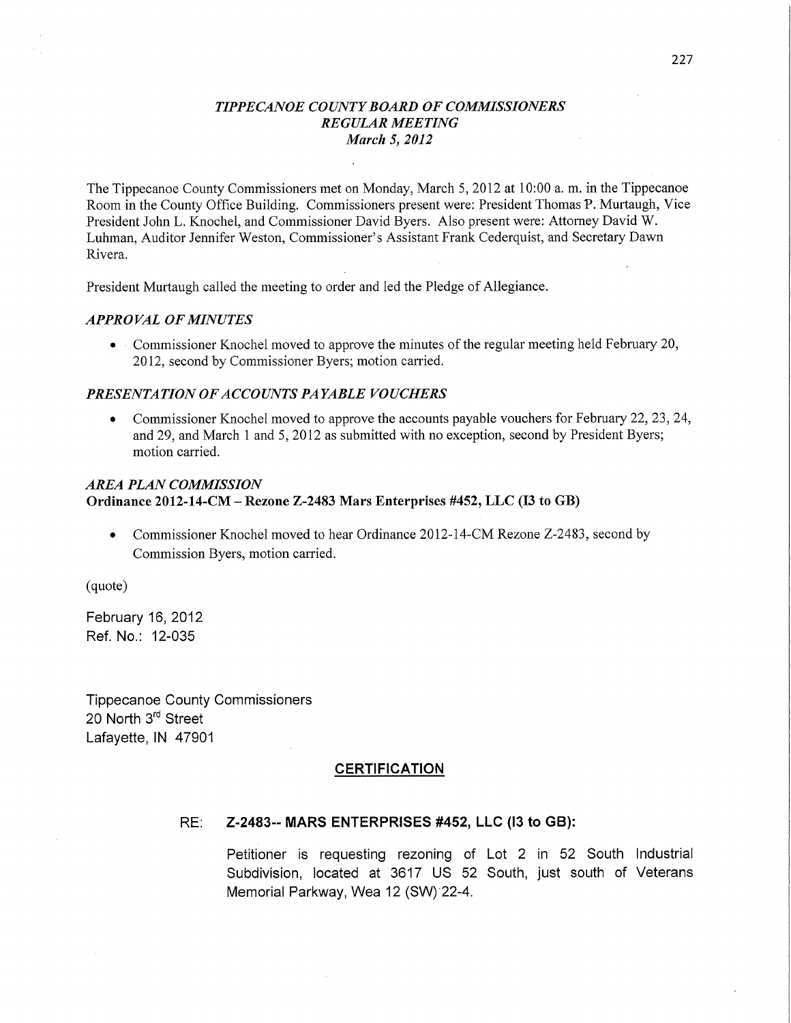### *TIPPECANOE* C0 *UNTY BOARD* OF *COMMISSIONERS REGULAR MEETING March* 5, *2012*

The Tippecanoe County Commissioners met on Monday, March 5, 2012 at 10:00 a. m. in the Tippecanoe Room in the County Office Building. Commissioners present were: President Thomas P. Murtaugh, **Vice**  President John L. Knochel, and Commissioner David Byers. Also present were: Attorney David W. Luhman, Auditor Jennifer Weston, Commissioner's Assistant Frank Cederquist, and Secretary Dawn Rivera.

President Murtaugh called the meeting to order and led the Pledge of Allegiance.

### *APPRO* VAL OF *MINUTES*

**0** *-* Commissioner Knochel moved to approve the minutes of the regular meeting held February 20, 2012, second by Commissioner Byers; motion carried.

#### *PRESENTATION* OF *ACCOIJYVT S PAYABLE VOUCHERS*

**0** Commissioner Knochel moved to approve the accounts payable vouchers for February 22, 23, 24, and 29, and March **1** and 5, 2012 as submitted with no exception, second by President Byers; **motion** carried.

## *AREA PLAN COMMISSION*  **Ordinance 2012-14-CM — Rezone Z-2483 Mars Enterprises #452,** LLC (13 to GB)

• Commissioner Knochel moved to hear Ordinance 2012-14-CM Rezone Z-2483, second by Commission Byers, **motion** carried.

(quote)

February 16, 2012 Ref. No.: 12-035

Tippecanoe County Commissioners 20 North 3rd Street Lafayette, IN 47901

### **CERTIFICATION**

#### RE: *Z-2483--* MARS ENTERPRISES **#452,** LLC (I3 to **GB):**

Petitioner is requesting rezoning of Lot 2 in 52 South Industrial Subdivision, located at 3617 US 52 **South, just south** of Veterans Memorial Parkway, Wea 12 (SW)'22—4.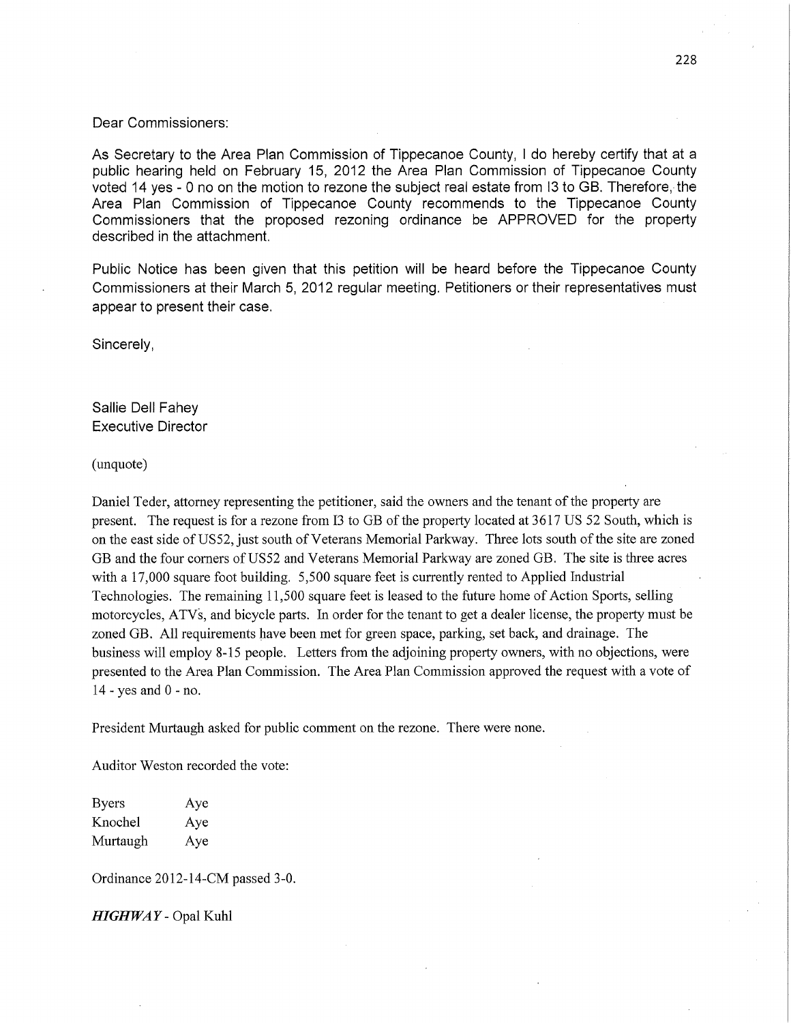#### Dear Commissioners:

As Secretary to the Area Plan **Commission** of Tippecanoe County, I do hereby certify **that** at <sup>a</sup> public hearing held on February 15, 2012 the Area Plan **Commission** of Tippecanoe County voted 14 yes - 0 no on the motion to rezone the subject real estate from 13 to GB. Therefore, the Area Plan **Commission** of Tippecanoe County recommends to the Tippecanoe County **Commissioners that** the proposed rezoning ordinance be APPROVED for the property described in the attachment.

Public Notice has been given **that** this petition wiil be heard before the Tippecanoe County Commissioners at their March 5, 2012 regular meeting. Petitioners or their representatives must appear to present their case.

Sincerely,

Sallie Dell Fahey Executive Director

(unquote)

Daniel Teder, attorney representing the petitioner, said the owners and the tenant of the property are present. The request is for a rezone from I3 to GB of the property located at 3617 US 52 South, which is on the east side of U852, just south of Veterans Memorial Parkway. Three lots south of the site are zoned GB and the four corners of U852 and Veterans Memorial Parkway are zoned GB. The site is three acres with a 17,000 square foot building. 5,500 square feet is currently rented to Applied Industrial Technologies. The remaining 11,500 square feet is leased to the future home of Action Sports, selling motorcycles, ATVs, and bicycle parts. In order for the tenant to get a dealer license, the property must be zoned GB. All requirements have been met for green space, parking, set back, and drainage. The business will employ 8-15 people. Letters from the adjoining property owners, with no objections, were presented to the Area Plan Commission. The Area Plan Commission approved the request with a vote of 14 *-* yes and 0 *-* no.

President Murtaugh asked for public comment on the rezone. There were none.

Auditor Weston recorded the vote:

Byers Aye Knochel Aye Murtaugh Aye

Ordinance 2012-14-CM passed 3—0.

*HIGHWAY* **—** Opal Kuhl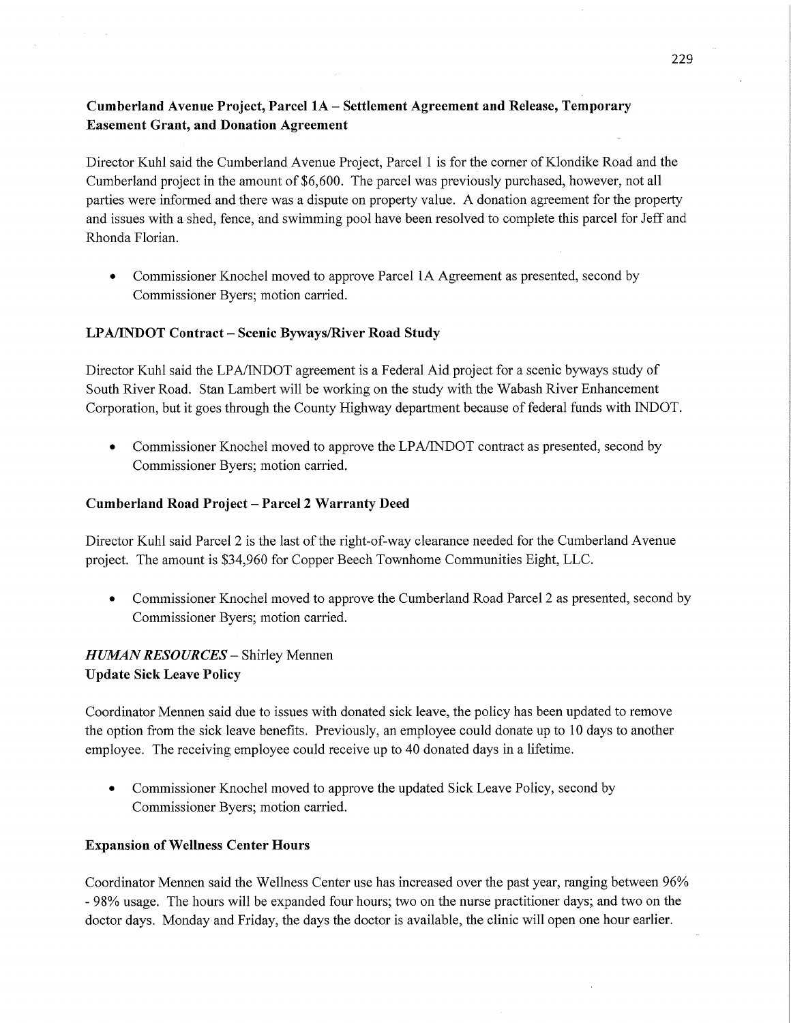# Cumberland **Avenue Project,** Parcel 1A **—** Settlement Agreement and **Release, Temporary Easement Grant,** and Donation Agreement

Director Kuhl said the Cumberland Avenue Project, Parcel 1 is for the corner of Klondike Road and the Cumberland project in the amount of \$6,600. The parcel was previously purchased, however, not all parties were informed and there was <sup>a</sup>dispute on property value. **A** donation agreement for the property and issues with a shed, fence, and swimming pool have been resolved to complete this parcel for Jeff and Rhonda Florian.

**0** Commissioner Knochel moved to approve Parcel 1A Agreement as presented, second by Commissioner Byers; motion carried.

## **LPA/INDOT Contract** *-* Scenic **Byways/River Road Study**

Director Kuhl said the LPA/INDOT agreement is a Federal Aid project for a scenic byways study of South River Road. Stan Lambert will be working on the study with the Wabash River Enhancement Corporation, but it goes through the County Highway department because of federal funds with INDOT.

**0** Commissioner Knochel moved to approve the LPA/JNDOT contract as presented, second by Commissioner Byers; motion carried.

## **Cumberland Road Project** *—* **Parcel 2 Warranty Deed**

Director Kuhl said Parcel 2 is the last of the right-of—way clearance needed for the Cumberland Avenue project. The amount is \$34,960 for Copper Beech Townhome Communities Eight, LLC.

**0** Commissioner Knochel moved to approve the Cumberland Road Parcel 2 as presented, second by Commissioner Byers; motion carried.

# *H UZWAN RESOURCES* **—** Shirley Mennen **Update Sick Leave Policy**

Coordinator Mennen said due to issues with donated sick leave, the policy has been updated to remove the option from the sick leave benefits. Previously, an employee could donate up to 10 days to another employee. The receiving employee could receive up to 40 donated days in a lifetime.

**0** Commissioner Knochel moved to approve the updated Sick Leave Policy, second by Commissioner Byers; motion carried.

## **Expansion** of Wellness **Center Hours**

Coordinator Mennen said the Wellness Center use has increased over the past year, ranging between 96% **—** 98% usage. The hours will be expanded four hours; two on the nurse practitioner days; and two on the doctor days. Monday and Friday, the days the doctor is available, the clinic will open one hour earlier.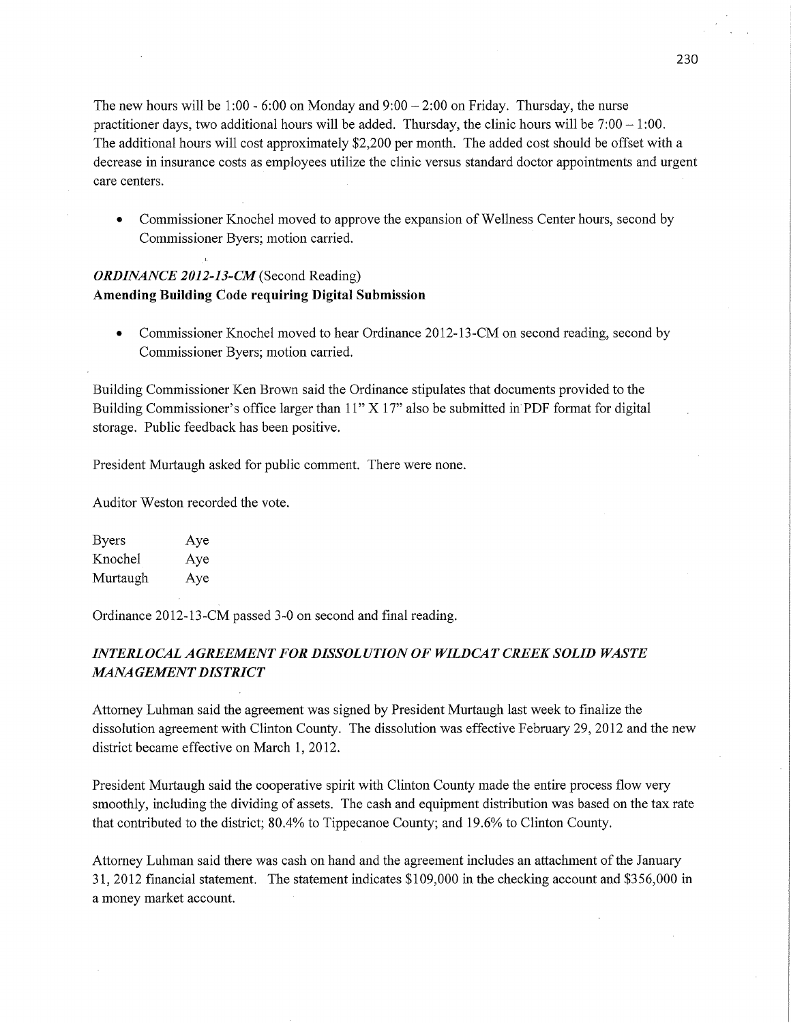The new hours will be 1:00 *-* 6:00 on Monday and 9:00 *—* 2:00 on Friday. Thursday, the nurse practitioner days, two additional hours will be added. Thursday, the clinic hours will be 7:00 — **1:00.**  The additional hours will cost approximately \$2,200 per month. The added cost should be offset with <sup>a</sup> decrease in insurance *costs* as employees utilize the clinic versus standard doctor appointments and urgen<sup>t</sup> care centers.

• Commissioner Knochel moved to approve the expansion of Wellness Center hours, second by Commissioner Byers; motion carried.

# *ORDINANCE 2012-13-CM* (Second Reading) **Amending Building Code requiring Digital** Submission

• Commissioner Knochel moved to hear Ordinance 2012-13-CM on second reading, second by Commissioner Byers; motion carried.

Building Commissioner Ken Brown said the Ordinance stipulates that documents provided to the Building Commissioner's office larger than  $11" X 17"$  also be submitted in PDF format for digital storage. Public feedback has been positive.

President Murtaugh asked for public comment. There were none.

Auditor Weston recorded the vote.

Byers Aye Knochel Aye Murtaugh Aye

Ordinance 2012-13—CM passed 3-0 on second and **final** reading.

# IN *TERL OCAL AGREEMENT F* OR *DISSOL U* TI 0N 0F *WILDCAT CREEK SOLID WASTE MANA GEMEN T DISTRICT*

Attorney Luhman said the agreement was signed by President Murtaugh last week to finalize the dissolution agreement with Clinton County. The dissolution was effective February 29, 2012 and the new district became effective on March 1, 2012.

President Murtaugh said the cooperative spirit with Clinton County made the entire process flow very smoothly, including the dividing of assets. The cash and equipment distribution was based on the tax rate that contributed to the district; 80.4% to Tippecanoe County; and 19.6% to Clinton County.

Attorney Luhman said there was cash on hand and the agreement includes an attachment of the January 31, 2012 financial statement. The statement indicates \$109,000 in the checking account and \$356,000 in a money market account.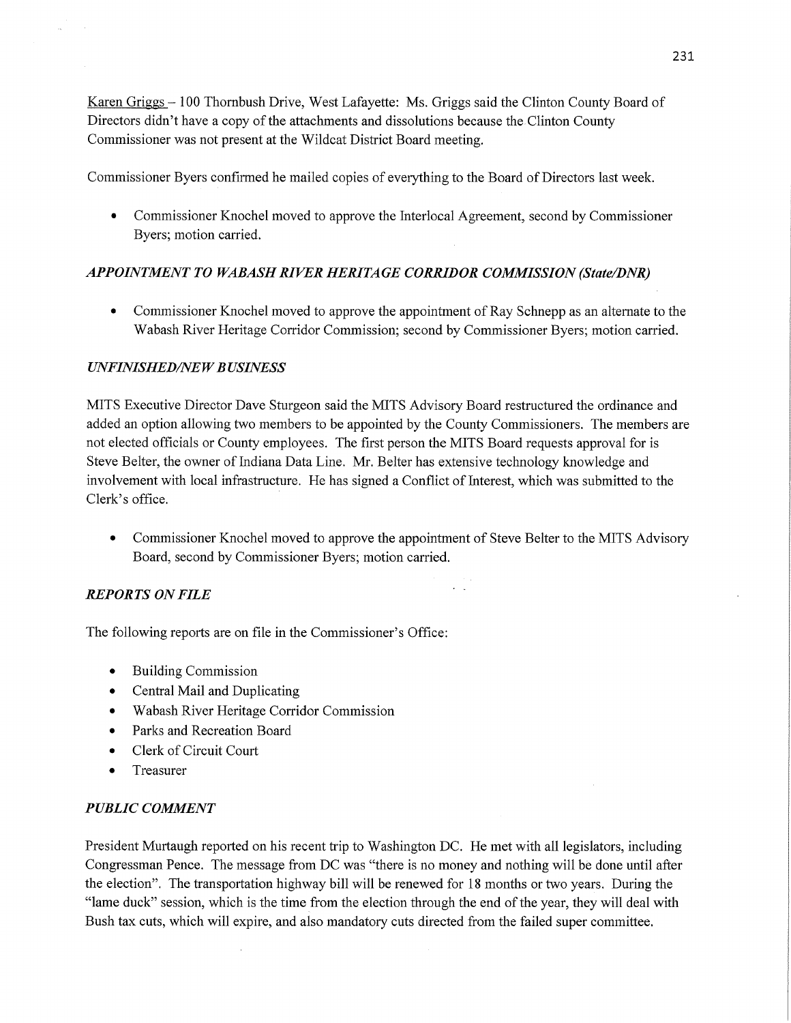Karen Griggs — 100 Thornbush Drive, West Lafayette: Ms. Griggs said the Clinton County Board of Directors didn't have a copy of the attachments and dissolutions because the Clinton County Commissioner was not present at the Wildcat District Board meeting.

Commissioner Byers confirmed he mailed copies of everything to the Board of Directors last week.

• Commissioner Knochel moved to approve the Interlocal Agreement, second by Commissioner Byers; motion carried.

# *APPOINTMENT* T0 *WABASH RIVER HERITAGE CORRIDOR COMMISSION (State/DNR)*

**0** Commissioner Knochel moved to approve the appointment of Ray Schnepp as an alternate to the Wabash River Heritage Corridor Commission; second by Commissioner Byers; motion carried.

# *UNFINISHED/NE W B USINESS*

**MITS** Executive Director Dave Sturgeon said the **MITS** Advisory Board restructured the ordinance and added an option allowing two members to be appointed by the County Commissioners. The members are not elected officials or County employees. The first person the **MITS** Board requests approval for is Steve Belter, the owner of Indiana Data Line. Mr. Belter has extensive technology knowledge and involvement with local infrastructure. He has signed a Conflict of Interest, which was submitted to the Clerk's office.

**0** Commissioner Knochel moved to approve the appointment of Steve Belter to the **MITS** Advisory Board, second by Commissioner Byers; motion carried.

# *REPORTS* ON *FILE*

The following reports are on file in the Commissioner's Office:

- **0** Building Commission
- **0** Central Mail and Duplicating
- **0** Wabash River Heritage Corridor Commission
- Parks and Recreation Board
- **0** Clerk of Circuit Court
- **•** Treasurer

# *PUBLIC COMMENT*

President Murtaugh reported on his recent trip to Washington DC. He met with all legislators, including Congressman Pence. The message from DC was "there is no money and nothing will be done until after the election", The transportation highway bill Will be renewed for 18 months or two years. During the "lame duck" session, which is the time from the election through the end of the year, they will deal with Bush tax cuts, which will expire, and also mandatory cuts directed from the failed super committee,